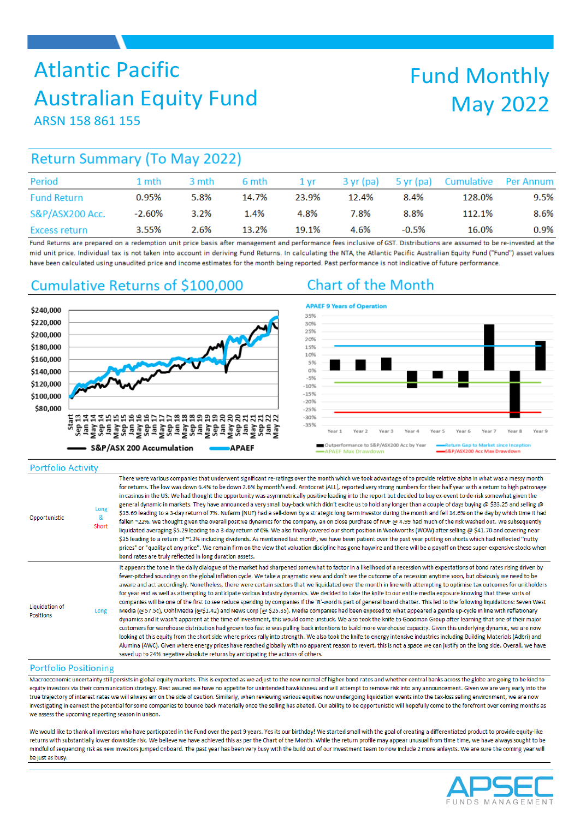# Atlantic Pacific Australian Equity Fund

# Fund Monthly May 2022

ARSN 158 861 155

# **Return Summary (To May 2022)**

| Period                     | 1 mth     | 3 mth | 6 mth | 1 vr  | $3 \text{ yr}$ (pa) |          | 5 yr (pa) Cumulative Per Annum |      |
|----------------------------|-----------|-------|-------|-------|---------------------|----------|--------------------------------|------|
| <b>Fund Return</b>         | 0.95%     | 5.8%  | 14.7% | 23.9% | 12.4%               | 8.4%     | 128.0%                         | 9.5% |
| <b>S&amp;P/ASX200 Acc.</b> | $-2.60\%$ | 3.2%  | 1.4%  | 4.8%  | 7.8%                | 8.8%     | 112.1%                         | 8.6% |
| Excess return              | 3.55%     | 2.6%  | 13.2% | 19.1% | 4.6%                | $-0.5\%$ | 16.0%                          | 0.9% |

Fund Returns are prepared on a redemption unit price basis after management and performance fees inclusive of GST. Distributions are assumed to be re-invested at the mid unit price. Individual tax is not taken into account in deriving Fund Returns. In calculating the NTA, the Atlantic Pacific Australian Equity Fund ("Fund") asset values have been calculated using unaudited price and income estimates for the month being reported. Past performance is not indicative of future performance.

## Cumulative Returns of \$100,000

## \$240,000 \$220,000 \$200,000 \$180,000 \$160,000 \$140,000 \$120,000 \$100,000 \$80,000 e de la consegue de la consegue de la consegue de la consegue de la consegue de la consegue de la consegue de<br>Su de la consegue de la consegue de la consegue de la consegue de la consegue de la consegue de la consegue d S&P/ASX 200 Accumulation APAEF

# **Chart of the Month**



### **Portfolio Activity**

| Opportunistic                      | Long<br>&<br>Short | There were various companies that underwent significant re-ratings over the month which we took advantage of to provide relative alpha in what was a messy month<br>for returns. The low was down 6.4% to be down 2.6% by month's end. Aristocrat (ALL), reported very strong numbers for their half year with a return to high patronage<br>in casinos in the US. We had thought the opportunity was asymmetrically positive leading into the report but decided to buy ex-event to de-risk somewhat given the<br>general dynamic in markets. They have announced a very small buy-back which didn't excite us to hold any longer than a couple of days buying @ \$33.25 and selling @<br>\$35.69 leading to a 3-day return of 7%. Nufarm (NUF) had a sell-down by a strategic long term investor during the month and fell 14.6% on the day by which time it had<br>fallen ~22%. We thought given the overall positive dynamics for the company, an on close purchase of NUF @ 4.99 had much of the risk washed out. We subsequently<br>liquidated averaging \$5.29 leading to a 3-day return of 6%. We also finally covered our short position in Woolworths (WOW) after selling @ \$41.70 and covering near<br>\$35 leading to a return of ~13% including dividends. As mentioned last month, we have been patient over the past year putting on shorts which had reflected "nutty<br>prices" or "quality at any price". We remain firm on the view that valuation discipline has gone haywire and there will be a payoff on these super-expensive stocks when<br>bond rates are truly reflected in long duration assets.                                                                                                                                                                                                        |
|------------------------------------|--------------------|--------------------------------------------------------------------------------------------------------------------------------------------------------------------------------------------------------------------------------------------------------------------------------------------------------------------------------------------------------------------------------------------------------------------------------------------------------------------------------------------------------------------------------------------------------------------------------------------------------------------------------------------------------------------------------------------------------------------------------------------------------------------------------------------------------------------------------------------------------------------------------------------------------------------------------------------------------------------------------------------------------------------------------------------------------------------------------------------------------------------------------------------------------------------------------------------------------------------------------------------------------------------------------------------------------------------------------------------------------------------------------------------------------------------------------------------------------------------------------------------------------------------------------------------------------------------------------------------------------------------------------------------------------------------------------------------------------------------------------------------------------------------------------------------------------------------------------------|
| Liquidation of<br><b>Positions</b> | Long               | It appears the tone in the daily dialogue of the market had sharpened somewhat to factor in a likelihood of a recession with expectations of bond rates rising driven by<br>fever-pitched soundings on the global inflation cycle. We take a pragmatic view and don't see the outcome of a recession anytime soon, but obviously we need to be<br>aware and act accordingly. Nonetheless, there were certain sectors that we liquidated over the month in line with attempting to optimise tax outcomes for unitholders<br>for year end as well as attempting to anticipate various industry dynamics. We decided to take the knife to our entire media exposure knowing that these sorts of<br>companies will be one of the first to see reduce spending by companies if the 'R'-word is part of general board chatter. This led to the following liquidations: Seven West<br>Media (@57.5c), Ooh!Media (@\$1.42) and News Corp (@\$25.35). Media companies had been exposed to what appeared a gentle up-cycle in line with reflationary<br>dynamics and it wasn't apparent at the time of investment, this would come unstuck. We also took the knife to Goodman Group after learning that one of their major<br>customers for warehouse distribution had grown too fast ie was pulling back intentions to build more warehouse capacity. Given this underlying dynamic, we are now<br>looking at this equity from the short side where prices rally into strength. We also took the knife to energy intensive industries including Building Materials (Adbri) and<br>Alumina (AWC). Given where energy prices have reached globally with no apparent reason to revert, this is not a space we can justify on the long side. Overall, we have<br>saved up to 24% negative absolute returns by anticipating the actions of others. |

#### **Portfolio Positioning**

Macroeconomic uncertainty still persists in global equity markets. This is expected as we adjust to the new normal of higher bond rates and whether central banks across the globe are going to be kind to equity investors via their communication strategy. Rest assured we have no appetite for unintended hawkishness and will attempt to remove risk into any announcement. Given we are very early into the true trajectory of interest rates we will always err on the side of caution. Similarly, when reviewing various equities now undergoing liquidation events into the tax-loss selling environment, we are now investigating in earnest the potential for some companies to bounce back materially once the selling has abated. Our ability to be opportunistic will hopefully come to the forefront over coming months as we assess the upcoming reporting season in unison.

We would like to thank all investors who have particpated in the Fund over the past 9 years. Yes its our birthday! We started small with the goal of creating a differentiated product to provide equity-like returns with substantially lower downside risk. We believe we have achieved this as per the Chart of the Month. While the return profile may appear unusual from time time, we have always sought to be mindful of sequencing risk as new investors jumped onboard. The past year has been very busy with the build out of our investment team to now include 2 more anlaysts. We are sure the coming year will be just as busy.

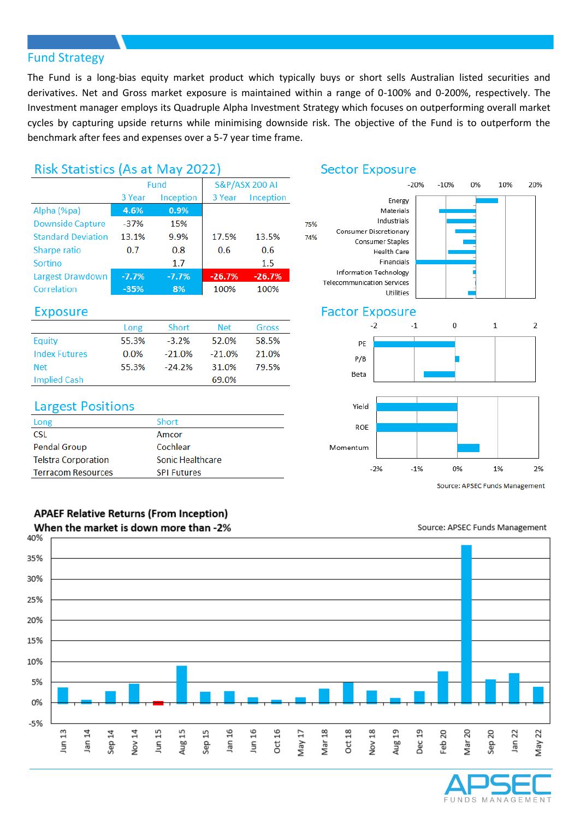## Fund Strategy

The Fund is a long-bias equity market product which typically buys or short sells Australian listed securities and derivatives. Net and Gross market exposure is maintained within a range of 0-100% and 0-200%, respectively. The Investment manager employs its Quadruple Alpha Investment Strategy which focuses on outperforming overall market cycles by capturing upside returns while minimising downside risk. The objective of the Fund is to outperform the benchmark after fees and expenses over a 5-7 year time frame.

75%

## Risk Statistics (As at May 2022)

|                           | Fund    |           |          | <b>S&amp;P/ASX 200 AI</b> |  |
|---------------------------|---------|-----------|----------|---------------------------|--|
|                           | 3 Year  | Inception | 3 Year   | Inception                 |  |
| Alpha (%pa)               | 4.6%    | 0.9%      |          |                           |  |
| <b>Downside Capture</b>   | $-37%$  | 15%       |          |                           |  |
| <b>Standard Deviation</b> | 13.1%   | 9.9%      | 17.5%    | 13.5%                     |  |
| Sharpe ratio              | 0.7     | 0.8       | 0.6      | $0.6^{\circ}$             |  |
| Sortino                   |         | 1.7       |          | $1.5\,$                   |  |
| Largest Drawdown          | $-7.7%$ | $-7.7%$   | $-26.7%$ | $-26.7%$                  |  |
| Correlation               | $-35%$  | 8%        | 100%     | 100%                      |  |

## **Exposure**

|                      | Long    | Short     | <b>Net</b> | <b>Gross</b> |
|----------------------|---------|-----------|------------|--------------|
| Equity               | 55.3%   | $-3.2\%$  | 52.0%      | 58.5%        |
| <b>Index Futures</b> | $0.0\%$ | $-21.0\%$ | $-21.0\%$  | 21.0%        |
| <b>Net</b>           | 55.3%   | $-24.2%$  | 31.0%      | 79.5%        |
| Implied Cash         |         |           | 69.0%      |              |

## **Largest Positions**

| Long                       | Short                   |
|----------------------------|-------------------------|
| <b>CSL</b>                 | Amcor                   |
| <b>Pendal Group</b>        | Cochlear                |
| <b>Telstra Corporation</b> | <b>Sonic Healthcare</b> |
| <b>Terracom Resources</b>  | <b>SPI Futures</b>      |
|                            |                         |

### **APAEF Relative Returns (From Inception)** When the market is down more than -2%

## **Sector Exposure**